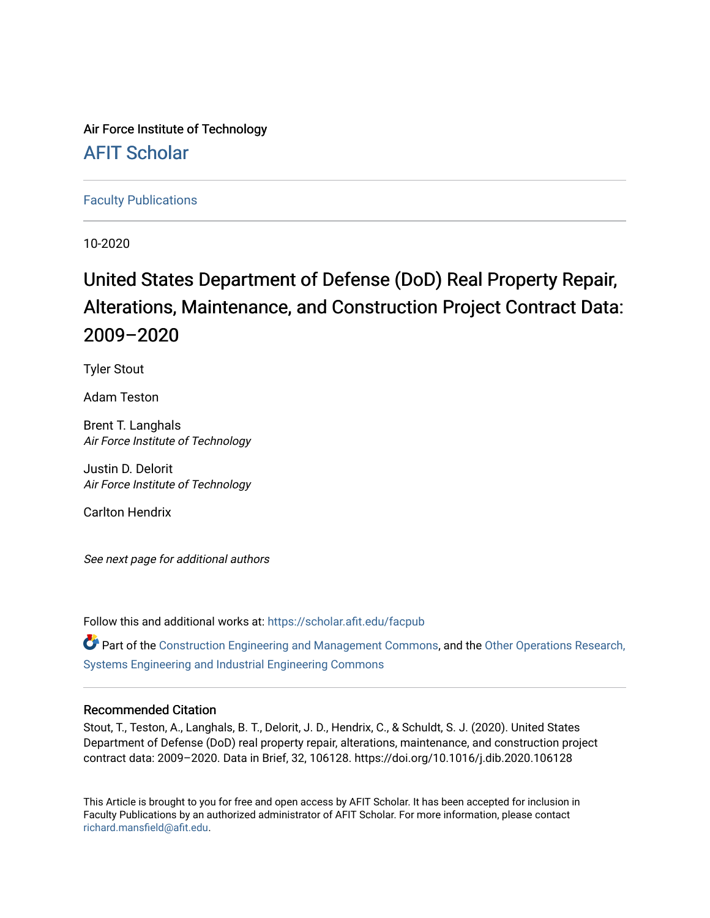Air Force Institute of Technology [AFIT Scholar](https://scholar.afit.edu/) 

[Faculty Publications](https://scholar.afit.edu/facpub)

10-2020

# United States Department of Defense (DoD) Real Property Repair, Alterations, Maintenance, and Construction Project Contract Data: 2009–2020

Tyler Stout

Adam Teston

Brent T. Langhals Air Force Institute of Technology

Justin D. Delorit Air Force Institute of Technology

Carlton Hendrix

See next page for additional authors

Follow this and additional works at: [https://scholar.afit.edu/facpub](https://scholar.afit.edu/facpub?utm_source=scholar.afit.edu%2Ffacpub%2F650&utm_medium=PDF&utm_campaign=PDFCoverPages)

**C** Part of the [Construction Engineering and Management Commons](http://network.bepress.com/hgg/discipline/253?utm_source=scholar.afit.edu%2Ffacpub%2F650&utm_medium=PDF&utm_campaign=PDFCoverPages), and the [Other Operations Research,](http://network.bepress.com/hgg/discipline/310?utm_source=scholar.afit.edu%2Ffacpub%2F650&utm_medium=PDF&utm_campaign=PDFCoverPages) [Systems Engineering and Industrial Engineering Commons](http://network.bepress.com/hgg/discipline/310?utm_source=scholar.afit.edu%2Ffacpub%2F650&utm_medium=PDF&utm_campaign=PDFCoverPages)

### Recommended Citation

Stout, T., Teston, A., Langhals, B. T., Delorit, J. D., Hendrix, C., & Schuldt, S. J. (2020). United States Department of Defense (DoD) real property repair, alterations, maintenance, and construction project contract data: 2009–2020. Data in Brief, 32, 106128. https://doi.org/10.1016/j.dib.2020.106128

This Article is brought to you for free and open access by AFIT Scholar. It has been accepted for inclusion in Faculty Publications by an authorized administrator of AFIT Scholar. For more information, please contact [richard.mansfield@afit.edu.](mailto:richard.mansfield@afit.edu)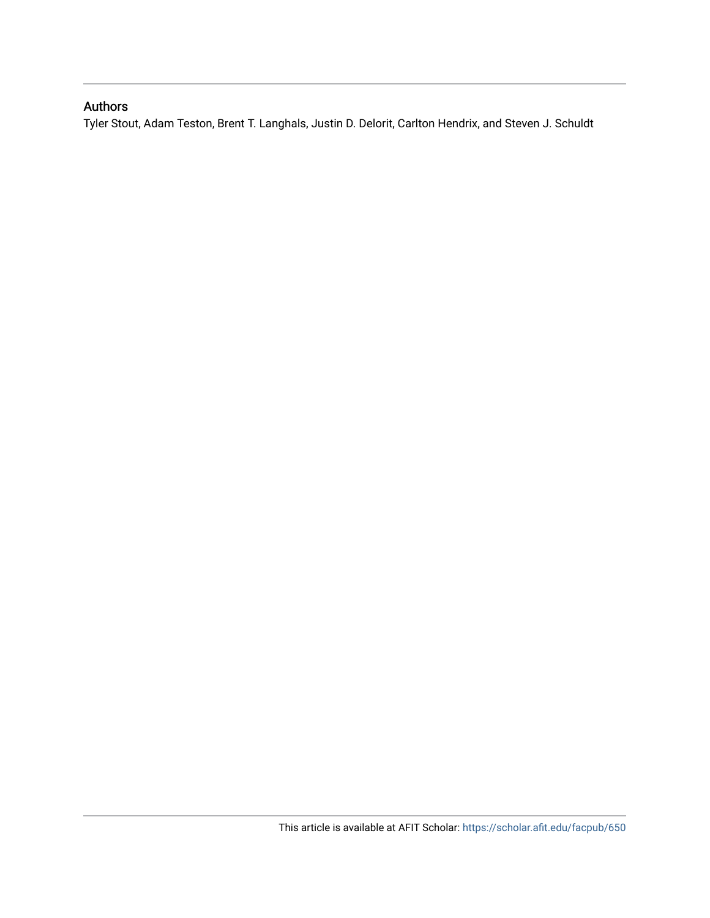## Authors

Tyler Stout, Adam Teston, Brent T. Langhals, Justin D. Delorit, Carlton Hendrix, and Steven J. Schuldt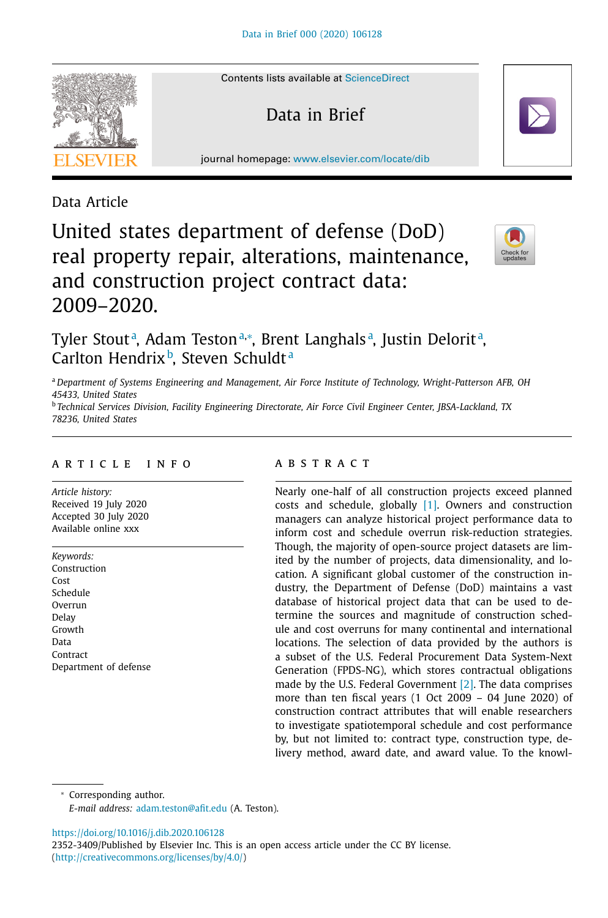

Contents lists available at [ScienceDirect](http://www.ScienceDirect.com)

Data in Brief

journal homepage: [www.elsevier.com/locate/dib](http://www.elsevier.com/locate/dib)

Data Article

## United states department of defense (DoD) real property repair, alterations, maintenance, and construction project contract data: 2009–2020.



## Tyler Stoutª, Adam Testonª.\*, Brent Langhalsª, Justin Deloritª, Carlton Hendrix<sup>b</sup>, Steven Schuldt<sup>a</sup>

<sup>a</sup> *Department of Systems Engineering and Management, Air Force Institute of Technology, Wright-Patterson AFB, OH 45433, United States*

<sup>b</sup> *Technical Services Division, Facility Engineering Directorate, Air Force Civil Engineer Center, JBSA-Lackland, TX 78236, United States*

#### a r t i c l e i n f o

*Article history:* Received 19 July 2020 Accepted 30 July 2020 Available online xxx

*Keywords:* Construction Cost Schedule Overrun Delay Growth Data Contract Department of defense

#### a b s t r a c t

Nearly one-half of all construction projects exceed planned costs and schedule, globally [\[1\].](#page-9-0) Owners and construction managers can analyze historical project performance data to inform cost and schedule overrun risk-reduction strategies. Though, the majority of open-source project datasets are limited by the number of projects, data dimensionality, and location. A significant global customer of the construction industry, the Department of Defense (DoD) maintains a vast database of historical project data that can be used to determine the sources and magnitude of construction schedule and cost overruns for many continental and international locations. The selection of data provided by the authors is a subset of the U.S. Federal Procurement Data System-Next Generation (FPDS-NG), which stores contractual obligations made by the U.S. Federal Government [\[2\].](#page-9-0) The data comprises more than ten fiscal years (1 Oct 2009 – 04 June 2020) of construction contract attributes that will enable researchers to investigate spatiotemporal schedule and cost performance by, but not limited to: contract type, construction type, delivery method, award date, and award value. To the knowl-

<sup>∗</sup> Corresponding author.

*E-mail address:* [adam.teston@afit.edu](mailto:adam.teston@afit.edu) (A. Teston).

<https://doi.org/10.1016/j.dib.2020.106128>

<sup>2352-3409/</sup>Published by Elsevier Inc. This is an open access article under the CC BY license. [\(http://creativecommons.org/licenses/by/4.0/\)](http://creativecommons.org/licenses/by/4.0/)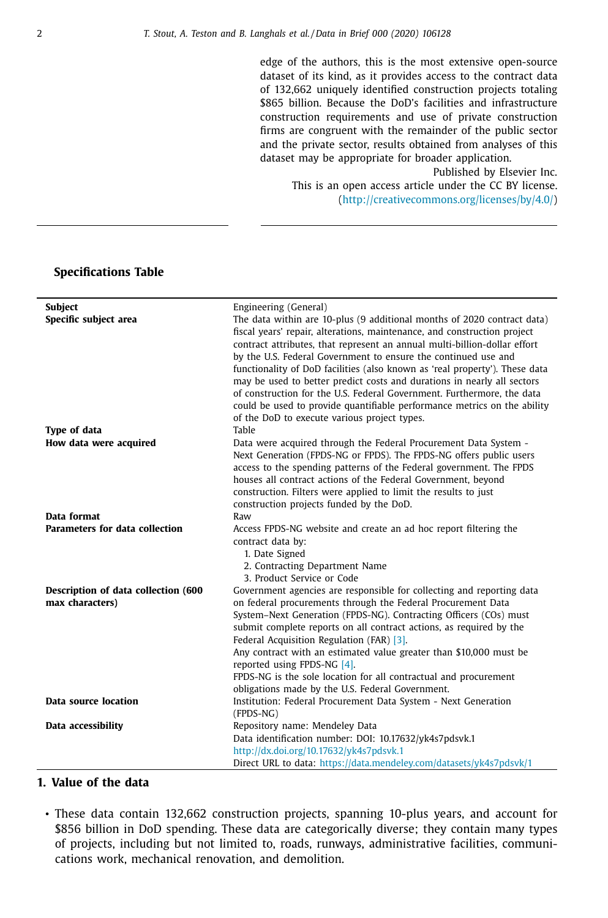edge of the authors, this is the most extensive open-source dataset of its kind, as it provides access to the contract data of 132,662 uniquely identified construction projects totaling \$865 billion. Because the DoD's facilities and infrastructure construction requirements and use of private construction firms are congruent with the remainder of the public sector and the private sector, results obtained from analyses of this dataset may be appropriate for broader application.

Published by Elsevier Inc. This is an open access article under the CC BY license. [\(http://creativecommons.org/licenses/by/4.0/\)](http://creativecommons.org/licenses/by/4.0/)

#### **Specifications Table**

| Subject<br>Specific subject area                       | Engineering (General)<br>The data within are 10-plus (9 additional months of 2020 contract data)<br>fiscal years' repair, alterations, maintenance, and construction project<br>contract attributes, that represent an annual multi-billion-dollar effort<br>by the U.S. Federal Government to ensure the continued use and<br>functionality of DoD facilities (also known as 'real property'). These data<br>may be used to better predict costs and durations in nearly all sectors<br>of construction for the U.S. Federal Government. Furthermore, the data |
|--------------------------------------------------------|-----------------------------------------------------------------------------------------------------------------------------------------------------------------------------------------------------------------------------------------------------------------------------------------------------------------------------------------------------------------------------------------------------------------------------------------------------------------------------------------------------------------------------------------------------------------|
|                                                        | could be used to provide quantifiable performance metrics on the ability                                                                                                                                                                                                                                                                                                                                                                                                                                                                                        |
|                                                        | of the DoD to execute various project types.<br>Table                                                                                                                                                                                                                                                                                                                                                                                                                                                                                                           |
| Type of data<br>How data were acquired                 | Data were acquired through the Federal Procurement Data System -<br>Next Generation (FPDS-NG or FPDS). The FPDS-NG offers public users<br>access to the spending patterns of the Federal government. The FPDS<br>houses all contract actions of the Federal Government, beyond<br>construction. Filters were applied to limit the results to just<br>construction projects funded by the DoD.                                                                                                                                                                   |
| Data format                                            | Raw                                                                                                                                                                                                                                                                                                                                                                                                                                                                                                                                                             |
| Parameters for data collection                         | Access FPDS-NG website and create an ad hoc report filtering the<br>contract data by:<br>1. Date Signed<br>2. Contracting Department Name<br>3. Product Service or Code                                                                                                                                                                                                                                                                                                                                                                                         |
| Description of data collection (600<br>max characters) | Government agencies are responsible for collecting and reporting data<br>on federal procurements through the Federal Procurement Data<br>System-Next Generation (FPDS-NG). Contracting Officers (COs) must<br>submit complete reports on all contract actions, as required by the<br>Federal Acquisition Regulation (FAR) [3].<br>Any contract with an estimated value greater than \$10,000 must be<br>reported using FPDS-NG [4].<br>FPDS-NG is the sole location for all contractual and procurement<br>obligations made by the U.S. Federal Government.     |
| Data source location                                   | Institution: Federal Procurement Data System - Next Generation                                                                                                                                                                                                                                                                                                                                                                                                                                                                                                  |
|                                                        | (FPDS-NG)                                                                                                                                                                                                                                                                                                                                                                                                                                                                                                                                                       |
| Data accessibility                                     | Repository name: Mendeley Data<br>Data identification number: DOI: 10.17632/yk4s7pdsvk.1<br>http://dx.doi.org/10.17632/yk4s7pdsvk.1<br>Direct URL to data: https://data.mendeley.com/datasets/yk4s7pdsvk/1                                                                                                                                                                                                                                                                                                                                                      |

#### **1. Value of the data**

• These data contain 132,662 construction projects, spanning 10-plus years, and account for \$856 billion in DoD spending. These data are categorically diverse; they contain many types of projects, including but not limited to, roads, runways, administrative facilities, communications work, mechanical renovation, and demolition.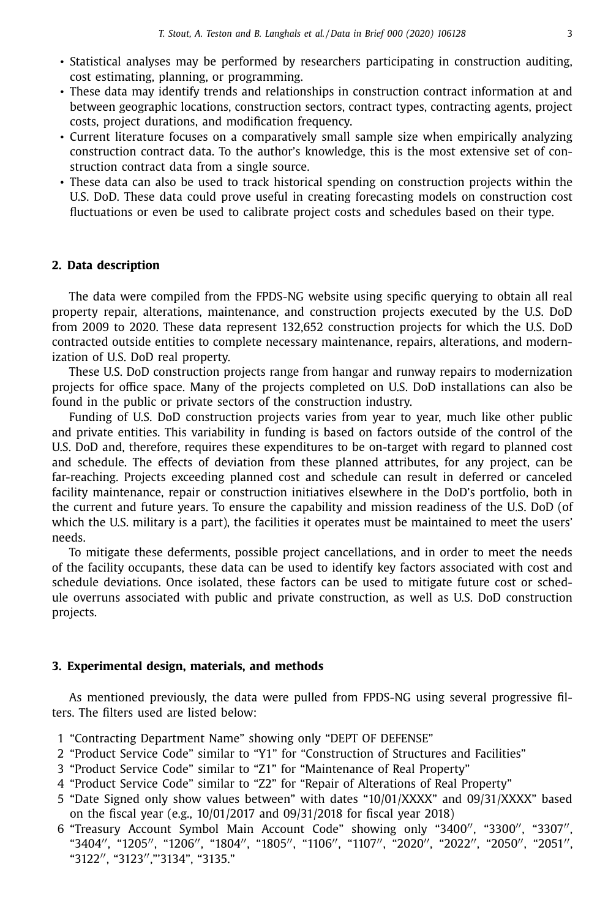- Statistical analyses may be performed by researchers participating in construction auditing, cost estimating, planning, or programming.
- These data may identify trends and relationships in construction contract information at and between geographic locations, construction sectors, contract types, contracting agents, project costs, project durations, and modification frequency.
- Current literature focuses on a comparatively small sample size when empirically analyzing construction contract data. To the author's knowledge, this is the most extensive set of construction contract data from a single source.
- These data can also be used to track historical spending on construction projects within the U.S. DoD. These data could prove useful in creating forecasting models on construction cost fluctuations or even be used to calibrate project costs and schedules based on their type.

#### **2. Data description**

The data were compiled from the FPDS-NG website using specific querying to obtain all real property repair, alterations, maintenance, and construction projects executed by the U.S. DoD from 2009 to 2020. These data represent 132,652 construction projects for which the U.S. DoD contracted outside entities to complete necessary maintenance, repairs, alterations, and modernization of U.S. DoD real property.

These U.S. DoD construction projects range from hangar and runway repairs to modernization projects for office space. Many of the projects completed on U.S. DoD installations can also be found in the public or private sectors of the construction industry.

Funding of U.S. DoD construction projects varies from year to year, much like other public and private entities. This variability in funding is based on factors outside of the control of the U.S. DoD and, therefore, requires these expenditures to be on-target with regard to planned cost and schedule. The effects of deviation from these planned attributes, for any project, can be far-reaching. Projects exceeding planned cost and schedule can result in deferred or canceled facility maintenance, repair or construction initiatives elsewhere in the DoD's portfolio, both in the current and future years. To ensure the capability and mission readiness of the U.S. DoD (of which the U.S. military is a part), the facilities it operates must be maintained to meet the users' needs.

To mitigate these deferments, possible project cancellations, and in order to meet the needs of the facility occupants, these data can be used to identify key factors associated with cost and schedule deviations. Once isolated, these factors can be used to mitigate future cost or schedule overruns associated with public and private construction, as well as U.S. DoD construction projects.

#### **3. Experimental design, materials, and methods**

As mentioned previously, the data were pulled from FPDS-NG using several progressive filters. The filters used are listed below:

- 1 "Contracting Department Name" showing only "DEPT OF DEFENSE"
- 2 "Product Service Code" similar to "Y1" for "Construction of Structures and Facilities"
- 3 "Product Service Code" similar to "Z1" for "Maintenance of Real Property"
- 4 "Product Service Code" similar to "Z2" for "Repair of Alterations of Real Property"
- 5 "Date Signed only show values between" with dates "10/01/XXXX" and 09/31/XXXX" based on the fiscal year (e.g., 10/01/2017 and 09/31/2018 for fiscal year 2018)
- 6 "Treasury Account Symbol Main Account Code" showing only "3400", "3300", "3307", "3404", "1205", "1206", "1804", "1805", "1106", "1107", "2020", "2022", "2050", "2051", "3122", "3123", "3134", "3135."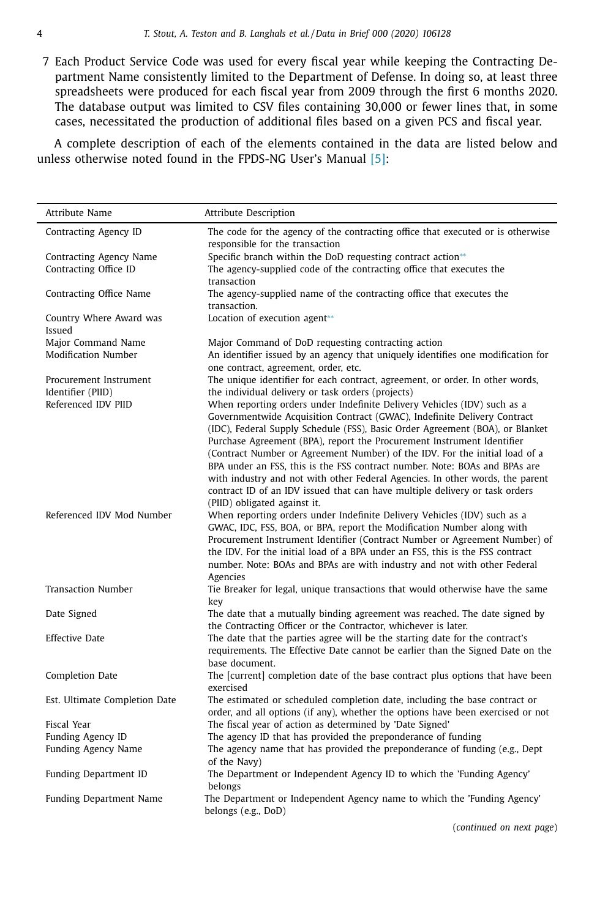7 Each Product Service Code was used for every fiscal year while keeping the Contracting Department Name consistently limited to the Department of Defense. In doing so, at least three spreadsheets were produced for each fiscal year from 2009 through the first 6 months 2020. The database output was limited to CSV files containing 30,000 or fewer lines that, in some cases, necessitated the production of additional files based on a given PCS and fiscal year.

A complete description of each of the elements contained in the data are listed below and unless otherwise noted found in the FPDS-NG User's Manual [\[5\]:](#page-9-0)

| Attribute Name                | <b>Attribute Description</b>                                                                                                                              |
|-------------------------------|-----------------------------------------------------------------------------------------------------------------------------------------------------------|
| Contracting Agency ID         | The code for the agency of the contracting office that executed or is otherwise<br>responsible for the transaction                                        |
| Contracting Agency Name       | Specific branch within the DoD requesting contract action**                                                                                               |
| Contracting Office ID         | The agency-supplied code of the contracting office that executes the                                                                                      |
|                               | transaction                                                                                                                                               |
| Contracting Office Name       | The agency-supplied name of the contracting office that executes the<br>transaction.                                                                      |
| Country Where Award was       | Location of execution agent**                                                                                                                             |
| Issued                        |                                                                                                                                                           |
| Major Command Name            | Major Command of DoD requesting contracting action                                                                                                        |
| <b>Modification Number</b>    | An identifier issued by an agency that uniquely identifies one modification for                                                                           |
|                               | one contract, agreement, order, etc.                                                                                                                      |
| Procurement Instrument        | The unique identifier for each contract, agreement, or order. In other words,                                                                             |
| Identifier (PIID)             | the individual delivery or task orders (projects)                                                                                                         |
| Referenced IDV PIID           | When reporting orders under Indefinite Delivery Vehicles (IDV) such as a                                                                                  |
|                               | Governmentwide Acquisition Contract (GWAC), Indefinite Delivery Contract<br>(IDC), Federal Supply Schedule (FSS), Basic Order Agreement (BOA), or Blanket |
|                               | Purchase Agreement (BPA), report the Procurement Instrument Identifier                                                                                    |
|                               | (Contract Number or Agreement Number) of the IDV. For the initial load of a                                                                               |
|                               | BPA under an FSS, this is the FSS contract number. Note: BOAs and BPAs are                                                                                |
|                               | with industry and not with other Federal Agencies. In other words, the parent                                                                             |
|                               | contract ID of an IDV issued that can have multiple delivery or task orders                                                                               |
|                               | (PIID) obligated against it.                                                                                                                              |
| Referenced IDV Mod Number     | When reporting orders under Indefinite Delivery Vehicles (IDV) such as a<br>GWAC, IDC, FSS, BOA, or BPA, report the Modification Number along with        |
|                               | Procurement Instrument Identifier (Contract Number or Agreement Number) of                                                                                |
|                               | the IDV. For the initial load of a BPA under an FSS, this is the FSS contract                                                                             |
|                               | number. Note: BOAs and BPAs are with industry and not with other Federal                                                                                  |
|                               | Agencies                                                                                                                                                  |
| <b>Transaction Number</b>     | Tie Breaker for legal, unique transactions that would otherwise have the same                                                                             |
|                               | key                                                                                                                                                       |
| Date Signed                   | The date that a mutually binding agreement was reached. The date signed by                                                                                |
| <b>Effective Date</b>         | the Contracting Officer or the Contractor, whichever is later.<br>The date that the parties agree will be the starting date for the contract's            |
|                               | requirements. The Effective Date cannot be earlier than the Signed Date on the                                                                            |
|                               | base document.                                                                                                                                            |
|                               | The [current] completion date of the base contract plus options that have been                                                                            |
| Completion Date               | exercised                                                                                                                                                 |
| Est. Ultimate Completion Date | The estimated or scheduled completion date, including the base contract or                                                                                |
|                               | order, and all options (if any), whether the options have been exercised or not                                                                           |
| Fiscal Year                   | The fiscal year of action as determined by 'Date Signed'                                                                                                  |
| Funding Agency ID             | The agency ID that has provided the preponderance of funding                                                                                              |
| Funding Agency Name           | The agency name that has provided the preponderance of funding (e.g., Dept                                                                                |
|                               | of the Navy)                                                                                                                                              |
| Funding Department ID         | The Department or Independent Agency ID to which the 'Funding Agency'                                                                                     |
|                               | belongs                                                                                                                                                   |
|                               |                                                                                                                                                           |
| Funding Department Name       | The Department or Independent Agency name to which the 'Funding Agency'                                                                                   |
|                               | belongs (e.g., DoD)                                                                                                                                       |
|                               |                                                                                                                                                           |

(*continued on next page*)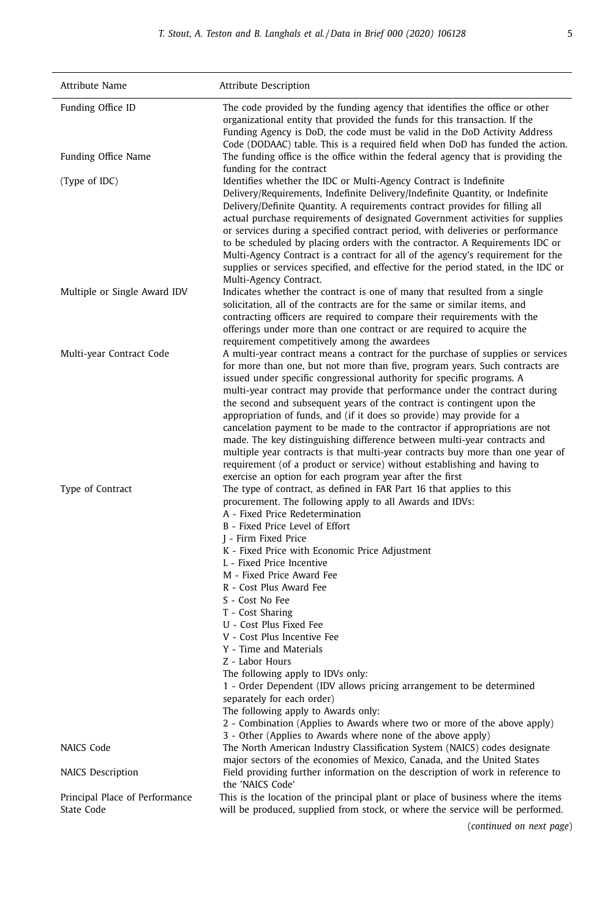| Attribute Name                               | Attribute Description                                                                                                                                                                                                                                                                                                                                                                                                                                                                                                                                                                                                                                                                                                                                                                                                                                          |
|----------------------------------------------|----------------------------------------------------------------------------------------------------------------------------------------------------------------------------------------------------------------------------------------------------------------------------------------------------------------------------------------------------------------------------------------------------------------------------------------------------------------------------------------------------------------------------------------------------------------------------------------------------------------------------------------------------------------------------------------------------------------------------------------------------------------------------------------------------------------------------------------------------------------|
| Funding Office ID                            | The code provided by the funding agency that identifies the office or other<br>organizational entity that provided the funds for this transaction. If the<br>Funding Agency is DoD, the code must be valid in the DoD Activity Address<br>Code (DODAAC) table. This is a required field when DoD has funded the action.                                                                                                                                                                                                                                                                                                                                                                                                                                                                                                                                        |
| Funding Office Name                          | The funding office is the office within the federal agency that is providing the<br>funding for the contract                                                                                                                                                                                                                                                                                                                                                                                                                                                                                                                                                                                                                                                                                                                                                   |
| (Type of IDC)                                | Identifies whether the IDC or Multi-Agency Contract is Indefinite<br>Delivery/Requirements, Indefinite Delivery/Indefinite Quantity, or Indefinite<br>Delivery/Definite Quantity. A requirements contract provides for filling all<br>actual purchase requirements of designated Government activities for supplies<br>or services during a specified contract period, with deliveries or performance<br>to be scheduled by placing orders with the contractor. A Requirements IDC or<br>Multi-Agency Contract is a contract for all of the agency's requirement for the<br>supplies or services specified, and effective for the period stated, in the IDC or<br>Multi-Agency Contract.                                                                                                                                                                       |
| Multiple or Single Award IDV                 | Indicates whether the contract is one of many that resulted from a single<br>solicitation, all of the contracts are for the same or similar items, and<br>contracting officers are required to compare their requirements with the<br>offerings under more than one contract or are required to acquire the<br>requirement competitively among the awardees                                                                                                                                                                                                                                                                                                                                                                                                                                                                                                    |
| Multi-year Contract Code                     | A multi-year contract means a contract for the purchase of supplies or services<br>for more than one, but not more than five, program years. Such contracts are<br>issued under specific congressional authority for specific programs. A<br>multi-year contract may provide that performance under the contract during<br>the second and subsequent years of the contract is contingent upon the<br>appropriation of funds, and (if it does so provide) may provide for a<br>cancelation payment to be made to the contractor if appropriations are not<br>made. The key distinguishing difference between multi-year contracts and<br>multiple year contracts is that multi-year contracts buy more than one year of<br>requirement (of a product or service) without establishing and having to<br>exercise an option for each program year after the first |
| Type of Contract                             | The type of contract, as defined in FAR Part 16 that applies to this<br>procurement. The following apply to all Awards and IDVs:<br>A - Fixed Price Redetermination<br>B - Fixed Price Level of Effort<br>I - Firm Fixed Price<br>K - Fixed Price with Economic Price Adjustment<br>L - Fixed Price Incentive<br>M - Fixed Price Award Fee<br>R - Cost Plus Award Fee<br>S - Cost No Fee<br>T - Cost Sharing<br>U - Cost Plus Fixed Fee<br>V - Cost Plus Incentive Fee<br>Y - Time and Materials<br>Z - Labor Hours<br>The following apply to IDVs only:<br>1 - Order Dependent (IDV allows pricing arrangement to be determined<br>separately for each order)<br>The following apply to Awards only:<br>2 - Combination (Applies to Awards where two or more of the above apply)                                                                              |
| NAICS Code                                   | 3 - Other (Applies to Awards where none of the above apply)<br>The North American Industry Classification System (NAICS) codes designate<br>major sectors of the economies of Mexico, Canada, and the United States                                                                                                                                                                                                                                                                                                                                                                                                                                                                                                                                                                                                                                            |
| <b>NAICS Description</b>                     | Field providing further information on the description of work in reference to<br>the 'NAICS Code'                                                                                                                                                                                                                                                                                                                                                                                                                                                                                                                                                                                                                                                                                                                                                             |
| Principal Place of Performance<br>State Code | This is the location of the principal plant or place of business where the items<br>will be produced, supplied from stock, or where the service will be performed.                                                                                                                                                                                                                                                                                                                                                                                                                                                                                                                                                                                                                                                                                             |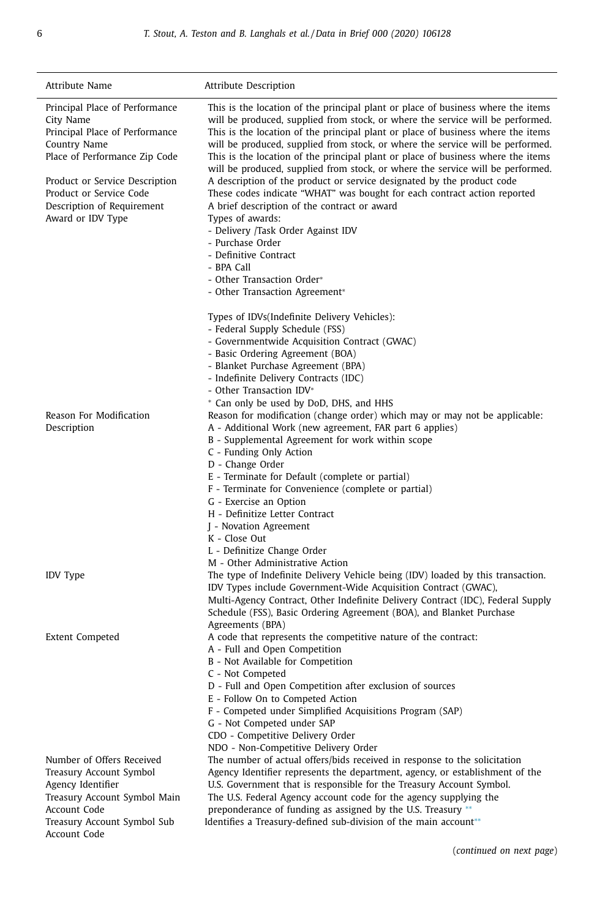| Attribute Name                              | Attribute Description                                                                                                                                    |
|---------------------------------------------|----------------------------------------------------------------------------------------------------------------------------------------------------------|
| Principal Place of Performance              | This is the location of the principal plant or place of business where the items                                                                         |
| City Name                                   | will be produced, supplied from stock, or where the service will be performed.                                                                           |
| Principal Place of Performance              | This is the location of the principal plant or place of business where the items                                                                         |
| Country Name                                | will be produced, supplied from stock, or where the service will be performed.                                                                           |
| Place of Performance Zip Code               | This is the location of the principal plant or place of business where the items                                                                         |
| Product or Service Description              | will be produced, supplied from stock, or where the service will be performed.<br>A description of the product or service designated by the product code |
| Product or Service Code                     | These codes indicate "WHAT" was bought for each contract action reported                                                                                 |
| Description of Requirement                  | A brief description of the contract or award                                                                                                             |
| Award or IDV Type                           | Types of awards:                                                                                                                                         |
|                                             | - Delivery /Task Order Against IDV                                                                                                                       |
|                                             | - Purchase Order                                                                                                                                         |
|                                             | - Definitive Contract<br>- BPA Call                                                                                                                      |
|                                             | - Other Transaction Order*                                                                                                                               |
|                                             | - Other Transaction Agreement*                                                                                                                           |
|                                             |                                                                                                                                                          |
|                                             | Types of IDVs(Indefinite Delivery Vehicles):<br>- Federal Supply Schedule (FSS)                                                                          |
|                                             | - Governmentwide Acquisition Contract (GWAC)                                                                                                             |
|                                             | - Basic Ordering Agreement (BOA)                                                                                                                         |
|                                             | - Blanket Purchase Agreement (BPA)                                                                                                                       |
|                                             | - Indefinite Delivery Contracts (IDC)                                                                                                                    |
|                                             | - Other Transaction IDV*                                                                                                                                 |
| Reason For Modification                     | * Can only be used by DoD, DHS, and HHS<br>Reason for modification (change order) which may or may not be applicable:                                    |
| Description                                 | A - Additional Work (new agreement, FAR part 6 applies)                                                                                                  |
|                                             | B - Supplemental Agreement for work within scope                                                                                                         |
|                                             | C - Funding Only Action                                                                                                                                  |
|                                             | D - Change Order                                                                                                                                         |
|                                             | E - Terminate for Default (complete or partial)                                                                                                          |
|                                             | F - Terminate for Convenience (complete or partial)<br>G - Exercise an Option                                                                            |
|                                             | H - Definitize Letter Contract                                                                                                                           |
|                                             | J - Novation Agreement                                                                                                                                   |
|                                             | K - Close Out                                                                                                                                            |
|                                             | L - Definitize Change Order                                                                                                                              |
| <b>IDV</b> Type                             | M - Other Administrative Action<br>The type of Indefinite Delivery Vehicle being (IDV) loaded by this transaction.                                       |
|                                             | IDV Types include Government-Wide Acquisition Contract (GWAC),                                                                                           |
|                                             | Multi-Agency Contract, Other Indefinite Delivery Contract (IDC), Federal Supply                                                                          |
|                                             | Schedule (FSS), Basic Ordering Agreement (BOA), and Blanket Purchase                                                                                     |
|                                             | Agreements (BPA)                                                                                                                                         |
| <b>Extent Competed</b>                      | A code that represents the competitive nature of the contract:<br>A - Full and Open Competition                                                          |
|                                             | B - Not Available for Competition                                                                                                                        |
|                                             | C - Not Competed                                                                                                                                         |
|                                             | D - Full and Open Competition after exclusion of sources                                                                                                 |
|                                             | E - Follow On to Competed Action                                                                                                                         |
|                                             | F - Competed under Simplified Acquisitions Program (SAP)                                                                                                 |
|                                             | G - Not Competed under SAP<br>CDO - Competitive Delivery Order                                                                                           |
|                                             | NDO - Non-Competitive Delivery Order                                                                                                                     |
| Number of Offers Received                   | The number of actual offers/bids received in response to the solicitation                                                                                |
| Treasury Account Symbol                     | Agency Identifier represents the department, agency, or establishment of the                                                                             |
| Agency Identifier                           | U.S. Government that is responsible for the Treasury Account Symbol.                                                                                     |
| Treasury Account Symbol Main                | The U.S. Federal Agency account code for the agency supplying the                                                                                        |
| Account Code<br>Treasury Account Symbol Sub | preponderance of funding as assigned by the U.S. Treasury **<br>Identifies a Treasury-defined sub-division of the main account**                         |
| Account Code                                |                                                                                                                                                          |

 $\overline{\phantom{a}}$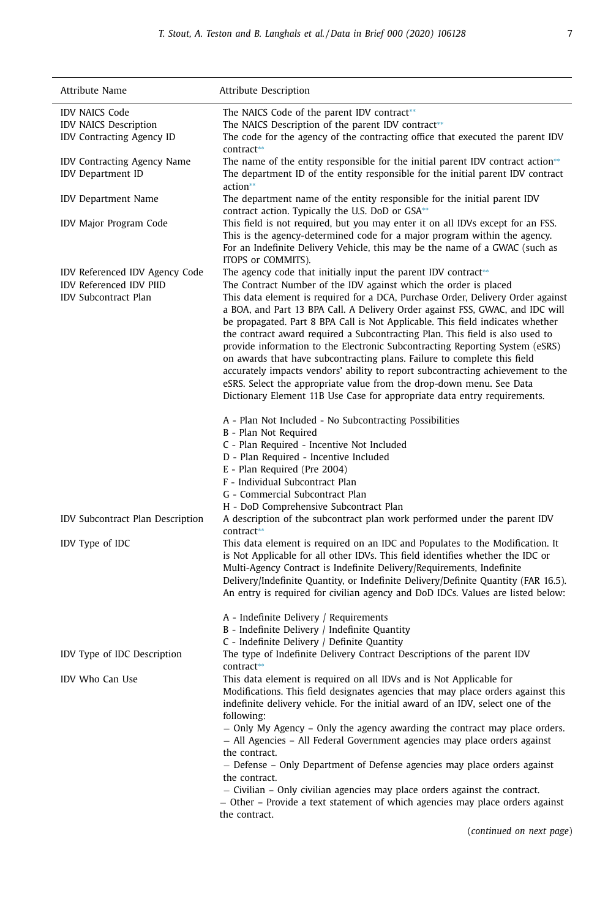| Attribute Name                                          | <b>Attribute Description</b>                                                                                                                                  |
|---------------------------------------------------------|---------------------------------------------------------------------------------------------------------------------------------------------------------------|
| <b>IDV NAICS Code</b>                                   | The NAICS Code of the parent IDV contract**                                                                                                                   |
| <b>IDV NAICS Description</b>                            | The NAICS Description of the parent IDV contract**                                                                                                            |
| IDV Contracting Agency ID                               | The code for the agency of the contracting office that executed the parent IDV                                                                                |
|                                                         | contract**<br>The name of the entity responsible for the initial parent IDV contract action**                                                                 |
| IDV Contracting Agency Name<br><b>IDV</b> Department ID | The department ID of the entity responsible for the initial parent IDV contract                                                                               |
|                                                         | action*                                                                                                                                                       |
| IDV Department Name                                     | The department name of the entity responsible for the initial parent IDV                                                                                      |
|                                                         | contract action. Typically the U.S. DoD or GSA**                                                                                                              |
| IDV Major Program Code                                  | This field is not required, but you may enter it on all IDVs except for an FSS.                                                                               |
|                                                         | This is the agency-determined code for a major program within the agency.                                                                                     |
|                                                         | For an Indefinite Delivery Vehicle, this may be the name of a GWAC (such as                                                                                   |
|                                                         | ITOPS or COMMITS).                                                                                                                                            |
| IDV Referenced IDV Agency Code                          | The agency code that initially input the parent IDV contract**                                                                                                |
| IDV Referenced IDV PIID                                 | The Contract Number of the IDV against which the order is placed                                                                                              |
| <b>IDV Subcontract Plan</b>                             | This data element is required for a DCA, Purchase Order, Delivery Order against                                                                               |
|                                                         | a BOA, and Part 13 BPA Call. A Delivery Order against FSS, GWAC, and IDC will                                                                                 |
|                                                         | be propagated. Part 8 BPA Call is Not Applicable. This field indicates whether                                                                                |
|                                                         | the contract award required a Subcontracting Plan. This field is also used to<br>provide information to the Electronic Subcontracting Reporting System (eSRS) |
|                                                         | on awards that have subcontracting plans. Failure to complete this field                                                                                      |
|                                                         | accurately impacts vendors' ability to report subcontracting achievement to the                                                                               |
|                                                         | eSRS. Select the appropriate value from the drop-down menu. See Data                                                                                          |
|                                                         | Dictionary Element 11B Use Case for appropriate data entry requirements.                                                                                      |
|                                                         |                                                                                                                                                               |
|                                                         | A - Plan Not Included - No Subcontracting Possibilities                                                                                                       |
|                                                         | B - Plan Not Required                                                                                                                                         |
|                                                         | C - Plan Required - Incentive Not Included                                                                                                                    |
|                                                         | D - Plan Required - Incentive Included                                                                                                                        |
|                                                         | E - Plan Required (Pre 2004)<br>F - Individual Subcontract Plan                                                                                               |
|                                                         | G - Commercial Subcontract Plan                                                                                                                               |
|                                                         | H - DoD Comprehensive Subcontract Plan                                                                                                                        |
| IDV Subcontract Plan Description                        | A description of the subcontract plan work performed under the parent IDV                                                                                     |
|                                                         | contract**                                                                                                                                                    |
| IDV Type of IDC                                         | This data element is required on an IDC and Populates to the Modification. It                                                                                 |
|                                                         | is Not Applicable for all other IDVs. This field identifies whether the IDC or                                                                                |
|                                                         | Multi-Agency Contract is Indefinite Delivery/Requirements, Indefinite                                                                                         |
|                                                         | Delivery/Indefinite Quantity, or Indefinite Delivery/Definite Quantity (FAR 16.5).                                                                            |
|                                                         | An entry is required for civilian agency and DoD IDCs. Values are listed below:                                                                               |
|                                                         | A - Indefinite Delivery / Requirements                                                                                                                        |
|                                                         | B - Indefinite Delivery / Indefinite Quantity                                                                                                                 |
|                                                         | C - Indefinite Delivery / Definite Quantity                                                                                                                   |
| IDV Type of IDC Description                             | The type of Indefinite Delivery Contract Descriptions of the parent IDV                                                                                       |
|                                                         | contract**                                                                                                                                                    |
| IDV Who Can Use                                         | This data element is required on all IDVs and is Not Applicable for                                                                                           |
|                                                         | Modifications. This field designates agencies that may place orders against this                                                                              |
|                                                         | indefinite delivery vehicle. For the initial award of an IDV, select one of the                                                                               |
|                                                         | following:                                                                                                                                                    |
|                                                         | - Only My Agency - Only the agency awarding the contract may place orders.                                                                                    |
|                                                         | - All Agencies - All Federal Government agencies may place orders against<br>the contract.                                                                    |
|                                                         | - Defense - Only Department of Defense agencies may place orders against                                                                                      |
|                                                         | the contract.                                                                                                                                                 |
|                                                         | - Civilian - Only civilian agencies may place orders against the contract.                                                                                    |
|                                                         | - Other - Provide a text statement of which agencies may place orders against                                                                                 |
|                                                         | the contract.                                                                                                                                                 |
|                                                         |                                                                                                                                                               |

(*continued on next page*)